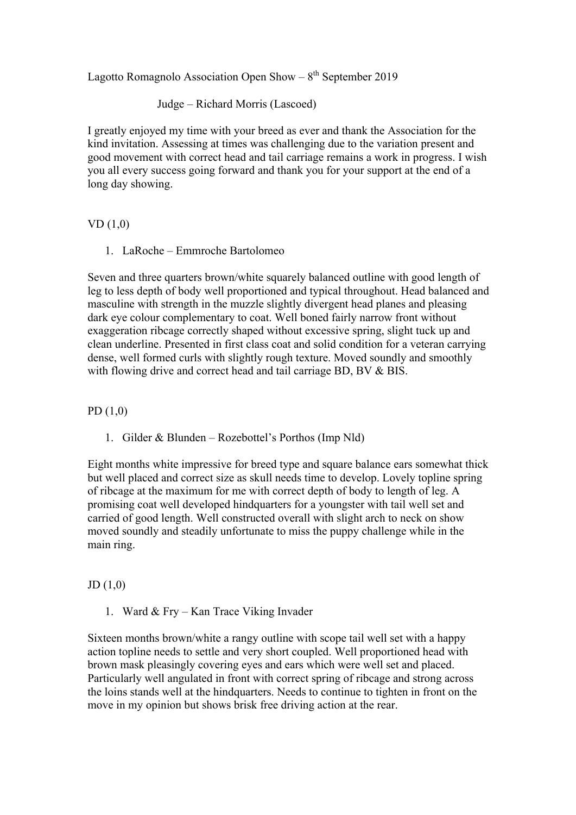Lagotto Romagnolo Association Open Show –  $8<sup>th</sup>$  September 2019

Judge – Richard Morris (Lascoed)

I greatly enjoyed my time with your breed as ever and thank the Association for the kind invitation. Assessing at times was challenging due to the variation present and good movement with correct head and tail carriage remains a work in progress. I wish you all every success going forward and thank you for your support at the end of a long day showing.

## VD (1,0)

1. LaRoche – Emmroche Bartolomeo

Seven and three quarters brown/white squarely balanced outline with good length of leg to less depth of body well proportioned and typical throughout. Head balanced and masculine with strength in the muzzle slightly divergent head planes and pleasing dark eye colour complementary to coat. Well boned fairly narrow front without exaggeration ribcage correctly shaped without excessive spring, slight tuck up and clean underline. Presented in first class coat and solid condition for a veteran carrying dense, well formed curls with slightly rough texture. Moved soundly and smoothly with flowing drive and correct head and tail carriage BD, BV & BIS.

PD (1,0)

1. Gilder & Blunden – Rozebottel's Porthos (Imp Nld)

Eight months white impressive for breed type and square balance ears somewhat thick but well placed and correct size as skull needs time to develop. Lovely topline spring of ribcage at the maximum for me with correct depth of body to length of leg. A promising coat well developed hindquarters for a youngster with tail well set and carried of good length. Well constructed overall with slight arch to neck on show moved soundly and steadily unfortunate to miss the puppy challenge while in the main ring.

## JD (1,0)

1. Ward & Fry – Kan Trace Viking Invader

Sixteen months brown/white a rangy outline with scope tail well set with a happy action topline needs to settle and very short coupled. Well proportioned head with brown mask pleasingly covering eyes and ears which were well set and placed. Particularly well angulated in front with correct spring of ribcage and strong across the loins stands well at the hindquarters. Needs to continue to tighten in front on the move in my opinion but shows brisk free driving action at the rear.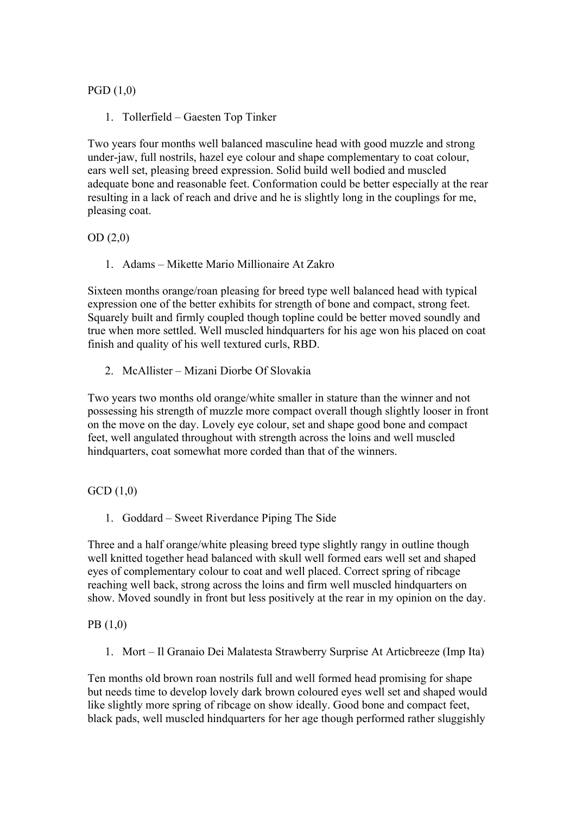PGD (1,0)

1. Tollerfield – Gaesten Top Tinker

Two years four months well balanced masculine head with good muzzle and strong under-jaw, full nostrils, hazel eye colour and shape complementary to coat colour, ears well set, pleasing breed expression. Solid build well bodied and muscled adequate bone and reasonable feet. Conformation could be better especially at the rear resulting in a lack of reach and drive and he is slightly long in the couplings for me, pleasing coat.

OD (2,0)

1. Adams – Mikette Mario Millionaire At Zakro

Sixteen months orange/roan pleasing for breed type well balanced head with typical expression one of the better exhibits for strength of bone and compact, strong feet. Squarely built and firmly coupled though topline could be better moved soundly and true when more settled. Well muscled hindquarters for his age won his placed on coat finish and quality of his well textured curls, RBD.

2. McAllister – Mizani Diorbe Of Slovakia

Two years two months old orange/white smaller in stature than the winner and not possessing his strength of muzzle more compact overall though slightly looser in front on the move on the day. Lovely eye colour, set and shape good bone and compact feet, well angulated throughout with strength across the loins and well muscled hindquarters, coat somewhat more corded than that of the winners.

GCD (1,0)

1. Goddard – Sweet Riverdance Piping The Side

Three and a half orange/white pleasing breed type slightly rangy in outline though well knitted together head balanced with skull well formed ears well set and shaped eyes of complementary colour to coat and well placed. Correct spring of ribcage reaching well back, strong across the loins and firm well muscled hindquarters on show. Moved soundly in front but less positively at the rear in my opinion on the day.

PB (1,0)

1. Mort – Il Granaio Dei Malatesta Strawberry Surprise At Articbreeze (Imp Ita)

Ten months old brown roan nostrils full and well formed head promising for shape but needs time to develop lovely dark brown coloured eyes well set and shaped would like slightly more spring of ribcage on show ideally. Good bone and compact feet, black pads, well muscled hindquarters for her age though performed rather sluggishly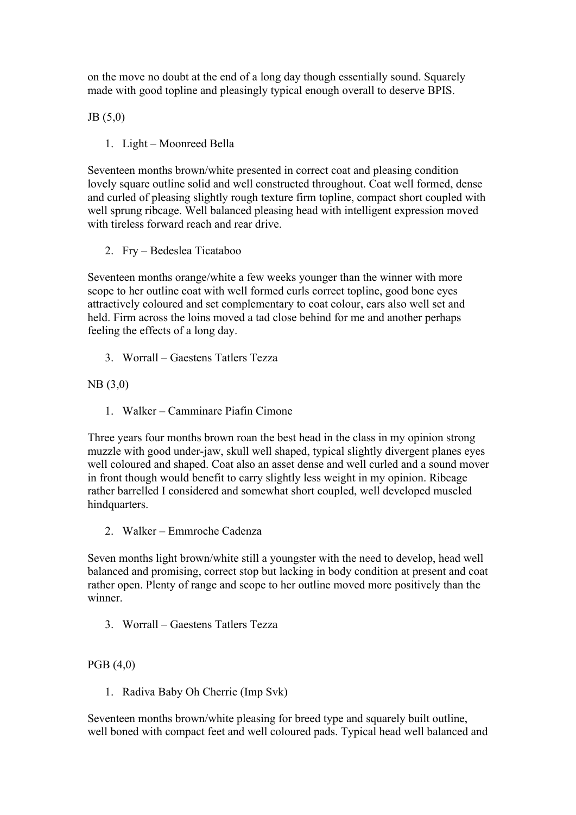on the move no doubt at the end of a long day though essentially sound. Squarely made with good topline and pleasingly typical enough overall to deserve BPIS.

JB (5,0)

1. Light – Moonreed Bella

Seventeen months brown/white presented in correct coat and pleasing condition lovely square outline solid and well constructed throughout. Coat well formed, dense and curled of pleasing slightly rough texture firm topline, compact short coupled with well sprung ribcage. Well balanced pleasing head with intelligent expression moved with tireless forward reach and rear drive.

2. Fry – Bedeslea Ticataboo

Seventeen months orange/white a few weeks younger than the winner with more scope to her outline coat with well formed curls correct topline, good bone eyes attractively coloured and set complementary to coat colour, ears also well set and held. Firm across the loins moved a tad close behind for me and another perhaps feeling the effects of a long day.

3. Worrall – Gaestens Tatlers Tezza

NB (3,0)

1. Walker – Camminare Piafin Cimone

Three years four months brown roan the best head in the class in my opinion strong muzzle with good under-jaw, skull well shaped, typical slightly divergent planes eyes well coloured and shaped. Coat also an asset dense and well curled and a sound mover in front though would benefit to carry slightly less weight in my opinion. Ribcage rather barrelled I considered and somewhat short coupled, well developed muscled hindquarters.

2. Walker – Emmroche Cadenza

Seven months light brown/white still a youngster with the need to develop, head well balanced and promising, correct stop but lacking in body condition at present and coat rather open. Plenty of range and scope to her outline moved more positively than the winner.

3. Worrall – Gaestens Tatlers Tezza

PGB (4,0)

1. Radiva Baby Oh Cherrie (Imp Svk)

Seventeen months brown/white pleasing for breed type and squarely built outline, well boned with compact feet and well coloured pads. Typical head well balanced and